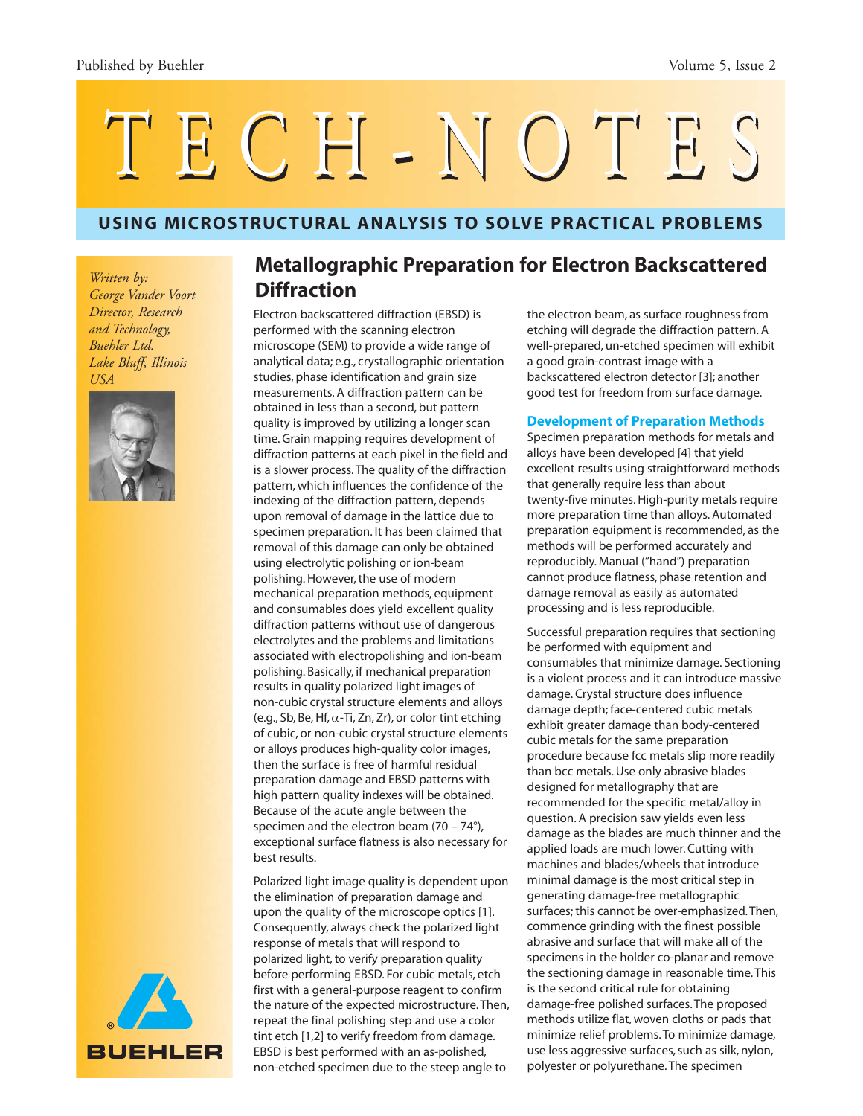# TECH-NOTES

# **USING MICROSTRUCTURAL ANALYSIS TO SOLVE PRACTICAL PROBLEMS**

*Written by: George Vander Voort Director, Research and Technology, Buehler Ltd. Lake Bluff, Illinois USA*





# **Metallographic Preparation for Electron Backscattered Diffraction**

Electron backscattered diffraction (EBSD) is performed with the scanning electron microscope (SEM) to provide a wide range of analytical data; e.g., crystallographic orientation studies, phase identification and grain size measurements. A diffraction pattern can be obtained in less than a second, but pattern quality is improved by utilizing a longer scan time. Grain mapping requires development of diffraction patterns at each pixel in the field and is a slower process. The quality of the diffraction pattern, which influences the confidence of the indexing of the diffraction pattern, depends upon removal of damage in the lattice due to specimen preparation. It has been claimed that removal of this damage can only be obtained using electrolytic polishing or ion-beam polishing. However, the use of modern mechanical preparation methods, equipment and consumables does yield excellent quality diffraction patterns without use of dangerous electrolytes and the problems and limitations associated with electropolishing and ion-beam polishing. Basically, if mechanical preparation results in quality polarized light images of non-cubic crystal structure elements and alloys (e.g., Sb, Be, Hf,  $\alpha$ -Ti, Zn, Zr), or color tint etching of cubic, or non-cubic crystal structure elements or alloys produces high-quality color images, then the surface is free of harmful residual preparation damage and EBSD patterns with high pattern quality indexes will be obtained. Because of the acute angle between the specimen and the electron beam (70 – 74°), exceptional surface flatness is also necessary for best results.

Polarized light image quality is dependent upon the elimination of preparation damage and upon the quality of the microscope optics [1]. Consequently, always check the polarized light response of metals that will respond to polarized light, to verify preparation quality before performing EBSD. For cubic metals, etch first with a general-purpose reagent to confirm the nature of the expected microstructure. Then, repeat the final polishing step and use a color tint etch [1,2] to verify freedom from damage. EBSD is best performed with an as-polished, non-etched specimen due to the steep angle to

the electron beam, as surface roughness from etching will degrade the diffraction pattern. A well-prepared, un-etched specimen will exhibit a good grain-contrast image with a backscattered electron detector [3]; another good test for freedom from surface damage.

#### **Development of Preparation Methods**

Specimen preparation methods for metals and alloys have been developed [4] that yield excellent results using straightforward methods that generally require less than about twenty-five minutes. High-purity metals require more preparation time than alloys. Automated preparation equipment is recommended, as the methods will be performed accurately and reproducibly. Manual ("hand") preparation cannot produce flatness, phase retention and damage removal as easily as automated processing and is less reproducible.

Successful preparation requires that sectioning be performed with equipment and consumables that minimize damage. Sectioning is a violent process and it can introduce massive damage. Crystal structure does influence damage depth; face-centered cubic metals exhibit greater damage than body-centered cubic metals for the same preparation procedure because fcc metals slip more readily than bcc metals. Use only abrasive blades designed for metallography that are recommended for the specific metal/alloy in question. A precision saw yields even less damage as the blades are much thinner and the applied loads are much lower. Cutting with machines and blades/wheels that introduce minimal damage is the most critical step in generating damage-free metallographic surfaces; this cannot be over-emphasized. Then, commence grinding with the finest possible abrasive and surface that will make all of the specimens in the holder co-planar and remove the sectioning damage in reasonable time. This is the second critical rule for obtaining damage-free polished surfaces. The proposed methods utilize flat, woven cloths or pads that minimize relief problems. To minimize damage, use less aggressive surfaces, such as silk, nylon, polyester or polyurethane. The specimen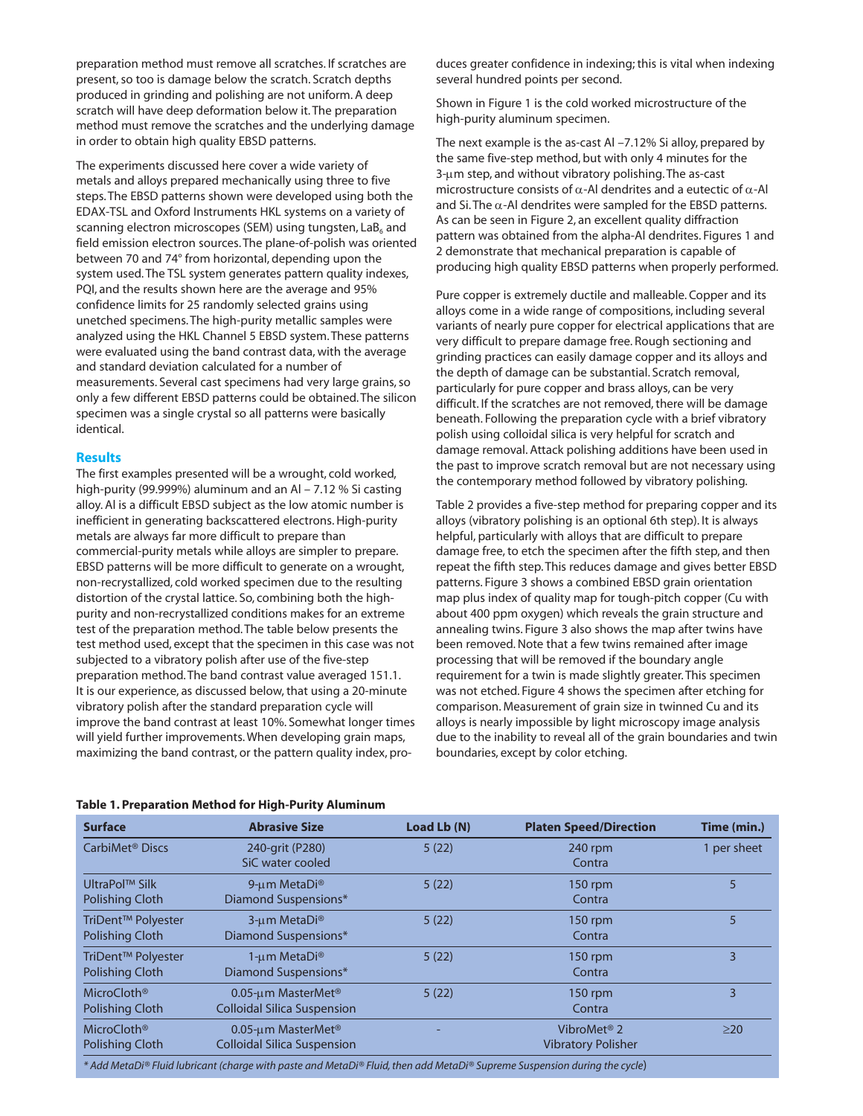preparation method must remove all scratches. If scratches are present, so too is damage below the scratch. Scratch depths produced in grinding and polishing are not uniform. A deep scratch will have deep deformation below it. The preparation method must remove the scratches and the underlying damage in order to obtain high quality EBSD patterns.

The experiments discussed here cover a wide variety of metals and alloys prepared mechanically using three to five steps. The EBSD patterns shown were developed using both the EDAX-TSL and Oxford Instruments HKL systems on a variety of scanning electron microscopes (SEM) using tungsten,  $\text{LaB}_6$  and field emission electron sources. The plane-of-polish was oriented between 70 and 74° from horizontal, depending upon the system used. The TSL system generates pattern quality indexes, PQI, and the results shown here are the average and 95% confidence limits for 25 randomly selected grains using unetched specimens. The high-purity metallic samples were analyzed using the HKL Channel 5 EBSD system. These patterns were evaluated using the band contrast data, with the average and standard deviation calculated for a number of measurements. Several cast specimens had very large grains, so only a few different EBSD patterns could be obtained. The silicon specimen was a single crystal so all patterns were basically identical.

#### **Results**

The first examples presented will be a wrought, cold worked, high-purity (99.999%) aluminum and an Al – 7.12 % Si casting alloy. Al is a difficult EBSD subject as the low atomic number is inefficient in generating backscattered electrons. High-purity metals are always far more difficult to prepare than commercial-purity metals while alloys are simpler to prepare. EBSD patterns will be more difficult to generate on a wrought, non-recrystallized, cold worked specimen due to the resulting distortion of the crystal lattice. So, combining both the highpurity and non-recrystallized conditions makes for an extreme test of the preparation method. The table below presents the test method used, except that the specimen in this case was not subjected to a vibratory polish after use of the five-step preparation method. The band contrast value averaged 151.1. It is our experience, as discussed below, that using a 20-minute vibratory polish after the standard preparation cycle will improve the band contrast at least 10%. Somewhat longer times will yield further improvements. When developing grain maps, maximizing the band contrast, or the pattern quality index, produces greater confidence in indexing; this is vital when indexing several hundred points per second.

Shown in Figure 1 is the cold worked microstructure of the high-purity aluminum specimen.

The next example is the as-cast Al –7.12% Si alloy, prepared by the same five-step method, but with only 4 minutes for the 3-μm step, and without vibratory polishing. The as-cast microstructure consists of  $\alpha$ -Al dendrites and a eutectic of  $\alpha$ -Al and Si. The  $\alpha$ -Al dendrites were sampled for the EBSD patterns. As can be seen in Figure 2, an excellent quality diffraction pattern was obtained from the alpha-Al dendrites. Figures 1 and 2 demonstrate that mechanical preparation is capable of producing high quality EBSD patterns when properly performed.

Pure copper is extremely ductile and malleable. Copper and its alloys come in a wide range of compositions, including several variants of nearly pure copper for electrical applications that are very difficult to prepare damage free. Rough sectioning and grinding practices can easily damage copper and its alloys and the depth of damage can be substantial. Scratch removal, particularly for pure copper and brass alloys, can be very difficult. If the scratches are not removed, there will be damage beneath. Following the preparation cycle with a brief vibratory polish using colloidal silica is very helpful for scratch and damage removal. Attack polishing additions have been used in the past to improve scratch removal but are not necessary using the contemporary method followed by vibratory polishing.

Table 2 provides a five-step method for preparing copper and its alloys (vibratory polishing is an optional 6th step). It is always helpful, particularly with alloys that are difficult to prepare damage free, to etch the specimen after the fifth step, and then repeat the fifth step. This reduces damage and gives better EBSD patterns. Figure 3 shows a combined EBSD grain orientation map plus index of quality map for tough-pitch copper (Cu with about 400 ppm oxygen) which reveals the grain structure and annealing twins. Figure 3 also shows the map after twins have been removed. Note that a few twins remained after image processing that will be removed if the boundary angle requirement for a twin is made slightly greater. This specimen was not etched. Figure 4 shows the specimen after etching for comparison. Measurement of grain size in twinned Cu and its alloys is nearly impossible by light microscopy image analysis due to the inability to reveal all of the grain boundaries and twin boundaries, except by color etching.

| <b>Surface</b>                                   | <b>Abrasive Size</b>                                                 | Load Lb (N) | <b>Platen Speed/Direction</b>                        | Time (min.) |
|--------------------------------------------------|----------------------------------------------------------------------|-------------|------------------------------------------------------|-------------|
| CarbiMet <sup>®</sup> Discs                      | 240-grit (P280)<br>SiC water cooled                                  | 5(22)       | 240 rpm<br>Contra                                    | 1 per sheet |
| UltraPol™ Silk<br>Polishing Cloth                | 9-um MetaDi <sup>®</sup><br>Diamond Suspensions*                     | 5(22)       | $150$ rpm<br>Contra                                  | 5           |
| TriDent™ Polyester<br>Polishing Cloth            | 3-um MetaDi <sup>®</sup><br>Diamond Suspensions*                     | 5(22)       | 150 rpm<br>Contra                                    | 5           |
| TriDent™ Polyester<br><b>Polishing Cloth</b>     | 1-um MetaDi <sup>®</sup><br>Diamond Suspensions*                     | 5(22)       | $150$ rpm<br>Contra                                  | 3           |
| <b>MicroCloth<sup>®</sup></b><br>Polishing Cloth | 0.05-um MasterMet <sup>®</sup><br><b>Colloidal Silica Suspension</b> | 5(22)       | 150 rpm<br>Contra                                    | 3           |
| <b>MicroCloth<sup>®</sup></b><br>Polishing Cloth | 0.05-um MasterMet <sup>®</sup><br><b>Colloidal Silica Suspension</b> |             | VibroMet <sup>®</sup> 2<br><b>Vibratory Polisher</b> | $\geq$ 20   |

# **Table 1. Preparation Method for High-Purity Aluminum**

*\* Add MetaDi® Fluid lubricant (charge with paste and MetaDi® Fluid, then add MetaDi® Supreme Suspension during the cycle*)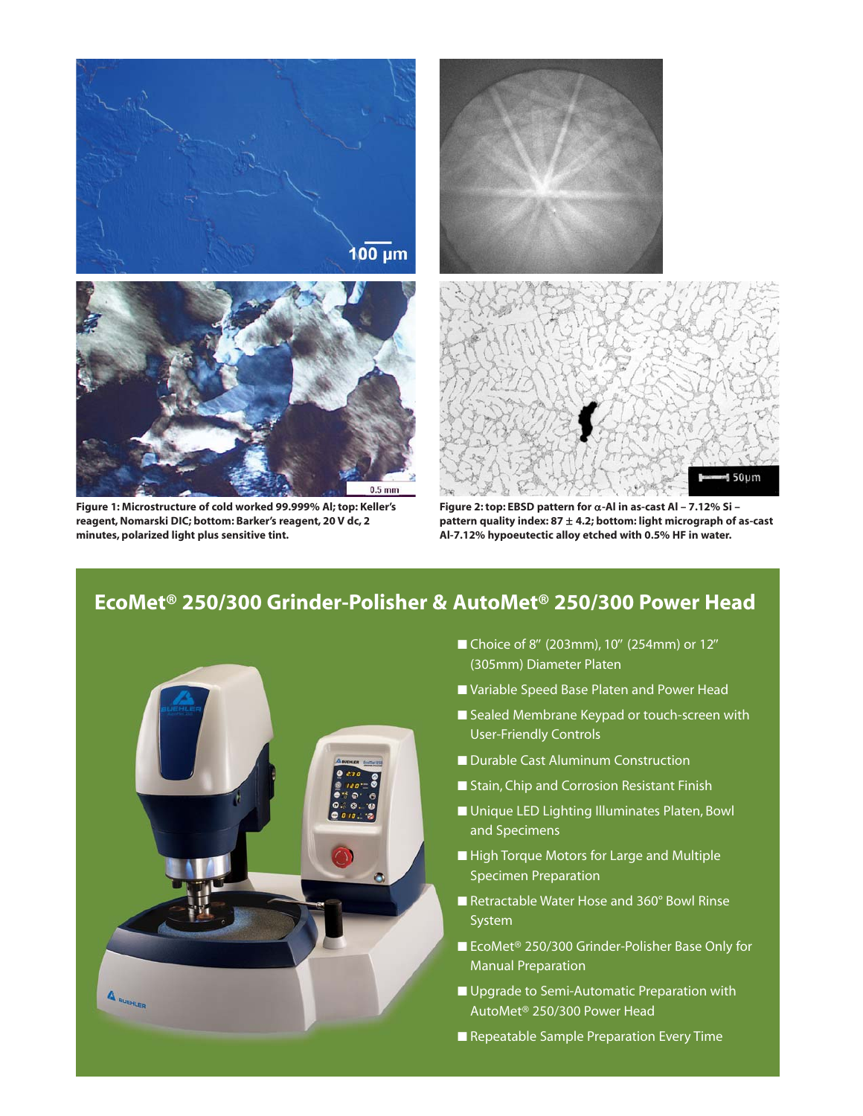

**Figure 1: Microstructure of cold worked 99.999% Al; top: Keller's reagent, Nomarski DIC; bottom: Barker's reagent, 20 V dc, 2 minutes, polarized light plus sensitive tint.** 



 $50\nu$ m

# **EcoMet® 250/300 Grinder-Polisher & AutoMet® 250/300 Power Head**



- Choice of 8" (203mm), 10" (254mm) or 12" (305mm) Diameter Platen
- Variable Speed Base Platen and Power Head
- Sealed Membrane Keypad or touch-screen with User-Friendly Controls
- Durable Cast Aluminum Construction
- Stain, Chip and Corrosion Resistant Finish
- Unique LED Lighting Illuminates Platen, Bowl and Specimens
- High Torque Motors for Large and Multiple Specimen Preparation
- Retractable Water Hose and 360° Bowl Rinse System
- EcoMet<sup>®</sup> 250/300 Grinder-Polisher Base Only for Manual Preparation
- Upgrade to Semi-Automatic Preparation with AutoMet® 250/300 Power Head
- Repeatable Sample Preparation Every Time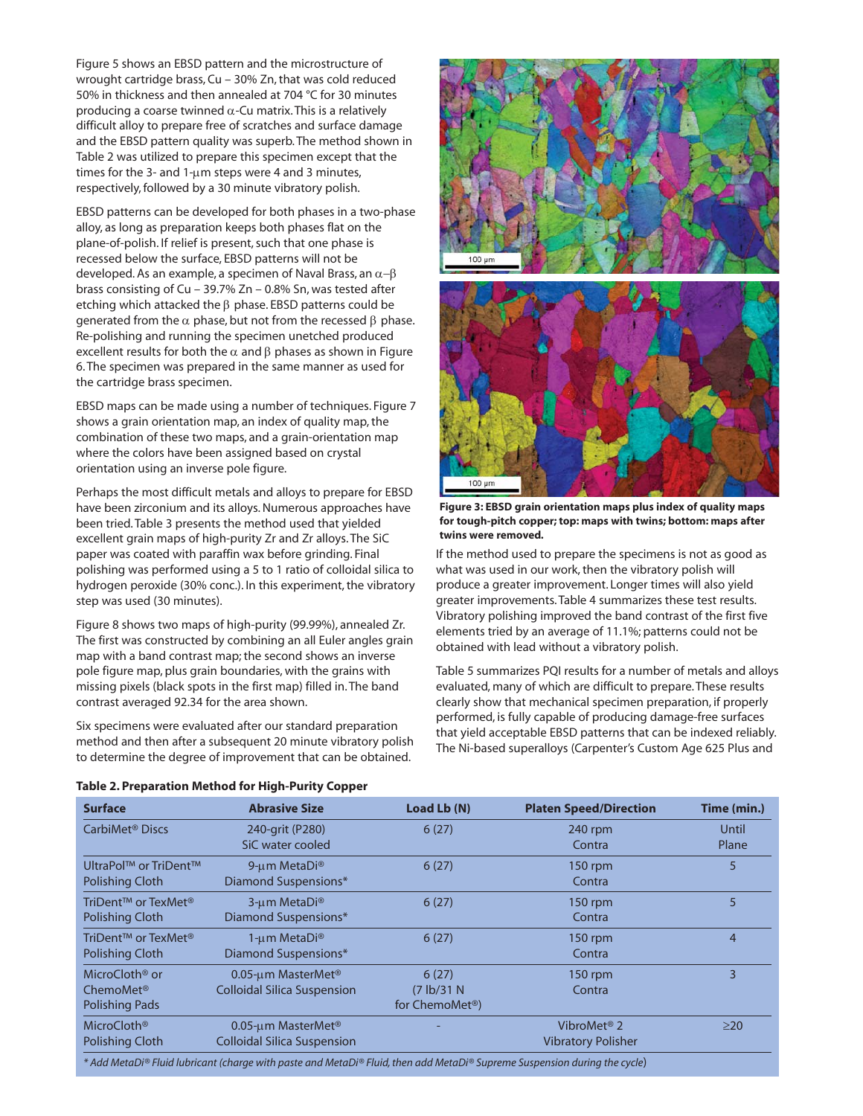Figure 5 shows an EBSD pattern and the microstructure of wrought cartridge brass, Cu – 30% Zn, that was cold reduced 50% in thickness and then annealed at 704 °C for 30 minutes producing a coarse twinned α-Cu matrix. This is a relatively difficult alloy to prepare free of scratches and surface damage and the EBSD pattern quality was superb. The method shown in Table 2 was utilized to prepare this specimen except that the times for the 3- and 1-μm steps were 4 and 3 minutes, respectively, followed by a 30 minute vibratory polish.

EBSD patterns can be developed for both phases in a two-phase alloy, as long as preparation keeps both phases flat on the plane-of-polish. If relief is present, such that one phase is recessed below the surface, EBSD patterns will not be developed. As an example, a specimen of Naval Brass, an  $\alpha-\beta$ brass consisting of Cu – 39.7% Zn – 0.8% Sn, was tested after etching which attacked the β phase. EBSD patterns could be generated from the  $α$  phase, but not from the recessed  $β$  phase. Re-polishing and running the specimen unetched produced excellent results for both the  $\alpha$  and  $\beta$  phases as shown in Figure 6. The specimen was prepared in the same manner as used for the cartridge brass specimen.

EBSD maps can be made using a number of techniques. Figure 7 shows a grain orientation map, an index of quality map, the combination of these two maps, and a grain-orientation map where the colors have been assigned based on crystal orientation using an inverse pole figure.

Perhaps the most difficult metals and alloys to prepare for EBSD have been zirconium and its alloys. Numerous approaches have been tried. Table 3 presents the method used that yielded excellent grain maps of high-purity Zr and Zr alloys. The SiC paper was coated with paraffin wax before grinding. Final polishing was performed using a 5 to 1 ratio of colloidal silica to hydrogen peroxide (30% conc.). In this experiment, the vibratory step was used (30 minutes).

Figure 8 shows two maps of high-purity (99.99%), annealed Zr. The first was constructed by combining an all Euler angles grain map with a band contrast map; the second shows an inverse pole figure map, plus grain boundaries, with the grains with missing pixels (black spots in the first map) filled in. The band contrast averaged 92.34 for the area shown.

Six specimens were evaluated after our standard preparation method and then after a subsequent 20 minute vibratory polish to determine the degree of improvement that can be obtained.



**Figure 3: EBSD grain orientation maps plus index of quality maps for tough-pitch copper; top: maps with twins; bottom: maps after twins were removed.** 

If the method used to prepare the specimens is not as good as what was used in our work, then the vibratory polish will produce a greater improvement. Longer times will also yield greater improvements. Table 4 summarizes these test results. Vibratory polishing improved the band contrast of the first five elements tried by an average of 11.1%; patterns could not be obtained with lead without a vibratory polish.

Table 5 summarizes PQI results for a number of metals and alloys evaluated, many of which are difficult to prepare. These results clearly show that mechanical specimen preparation, if properly performed, is fully capable of producing damage-free surfaces that yield acceptable EBSD patterns that can be indexed reliably. The Ni-based superalloys (Carpenter's Custom Age 625 Plus and

| <b>Abrasive Size</b>                                                       | Load Lb (N)                                         | <b>Platen Speed/Direction</b>                        | Time (min.)    |
|----------------------------------------------------------------------------|-----------------------------------------------------|------------------------------------------------------|----------------|
| 240-grit (P280)<br>SiC water cooled                                        | 6(27)                                               | 240 rpm<br>Contra                                    | Until<br>Plane |
| 9-um MetaDi <sup>®</sup><br>Diamond Suspensions*                           | 6(27)                                               | 150 rpm<br>Contra                                    | 5              |
| 3-um MetaDi <sup>®</sup><br>Diamond Suspensions*                           | 6(27)                                               | 150 rpm<br>Contra                                    | 5              |
| 1-um MetaDi <sup>®</sup><br><b>Diamond Suspensions*</b>                    | 6(27)                                               | $150$ rpm<br>Contra                                  | 4              |
| 0.05- $\mu$ m MasterMet <sup>®</sup><br><b>Colloidal Silica Suspension</b> | 6(27)<br>(7 lb/31 N)<br>for ChemoMet <sup>®</sup> ) | $150$ rpm<br>Contra                                  | 3              |
| 0.05-um MasterMet <sup>®</sup><br><b>Colloidal Silica Suspension</b>       |                                                     | VibroMet <sup>®</sup> 2<br><b>Vibratory Polisher</b> | $\geq$ 20      |
|                                                                            |                                                     |                                                      |                |

# **Table 2. Preparation Method for High-Purity Copper**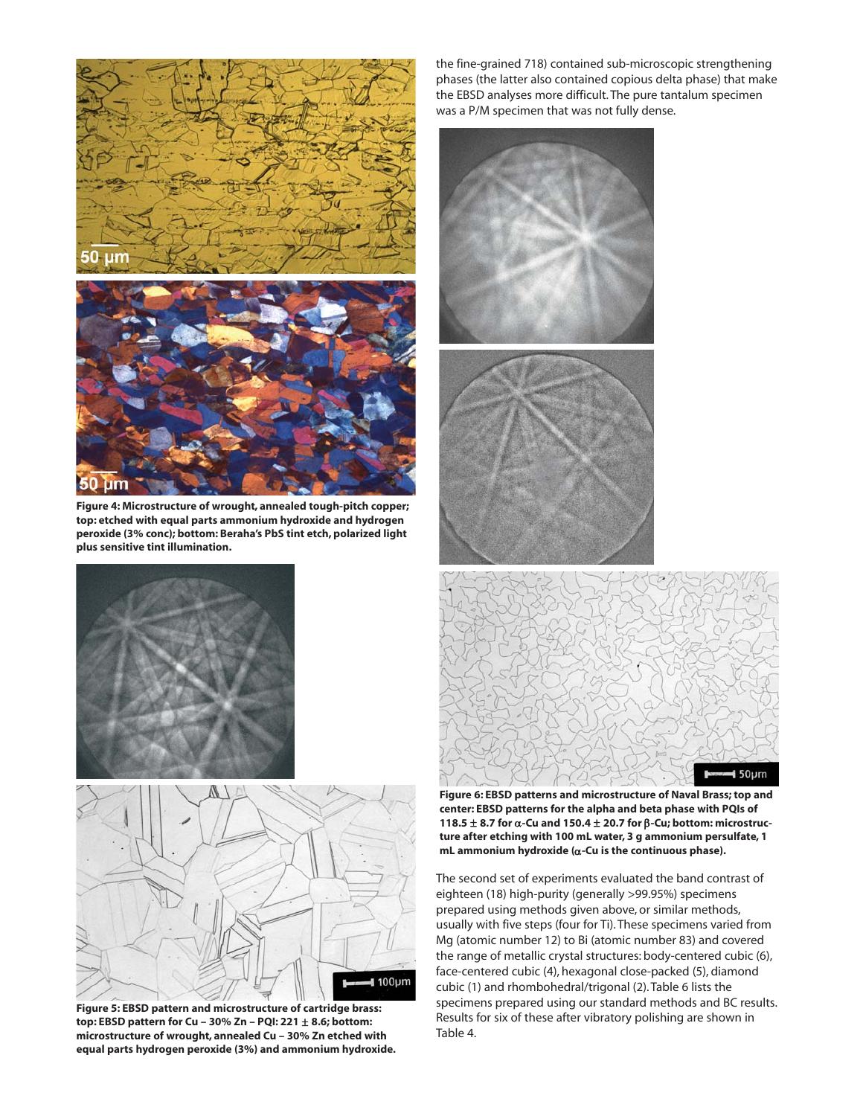

**Figure 4: Microstructure of wrought, annealed tough-pitch copper; top: etched with equal parts ammonium hydroxide and hydrogen peroxide (3% conc); bottom: Beraha's PbS tint etch, polarized light plus sensitive tint illumination.**





**Figure 5: EBSD pattern and microstructure of cartridge brass: top: EBSD pattern for Cu – 30% Zn – PQI: 221** ± **8.6; bottom: microstructure of wrought, annealed Cu – 30% Zn etched with equal parts hydrogen peroxide (3%) and ammonium hydroxide.** 

the fine-grained 718) contained sub-microscopic strengthening phases (the latter also contained copious delta phase) that make the EBSD analyses more difficult. The pure tantalum specimen was a P/M specimen that was not fully dense.





**Figure 6: EBSD patterns and microstructure of Naval Brass; top and center: EBSD patterns for the alpha and beta phase with PQIs of 118.5** ± **8.7 for** α**-Cu and 150.4** ± **20.7 for** β**-Cu; bottom: microstructure after etching with 100 mL water, 3 g ammonium persulfate, 1 mL ammonium hydroxide (**α**-Cu is the continuous phase).**

The second set of experiments evaluated the band contrast of eighteen (18) high-purity (generally >99.95%) specimens prepared using methods given above, or similar methods, usually with five steps (four for Ti). These specimens varied from Mg (atomic number 12) to Bi (atomic number 83) and covered the range of metallic crystal structures: body-centered cubic (6), face-centered cubic (4), hexagonal close-packed (5), diamond cubic (1) and rhombohedral/trigonal (2). Table 6 lists the specimens prepared using our standard methods and BC results. Results for six of these after vibratory polishing are shown in Table 4.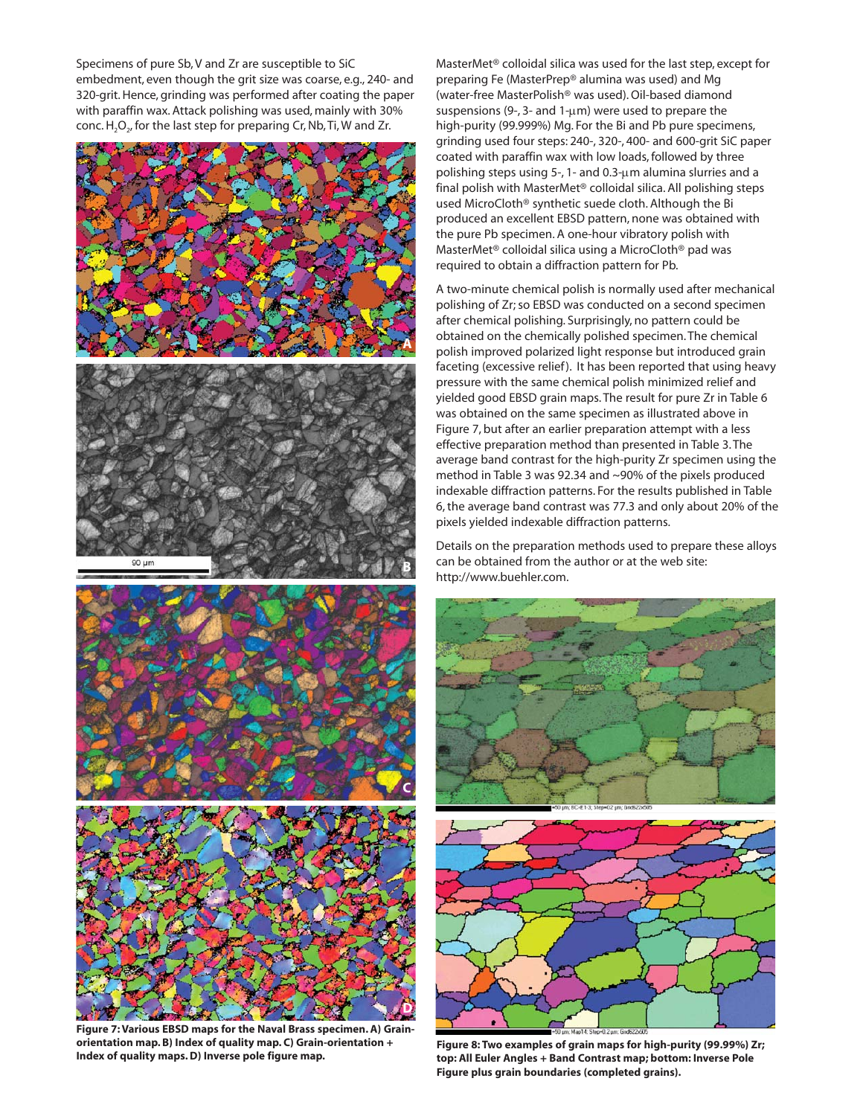Specimens of pure Sb, V and Zr are susceptible to SiC embedment, even though the grit size was coarse, e.g., 240- and 320-grit. Hence, grinding was performed after coating the paper with paraffin wax. Attack polishing was used, mainly with 30% conc.  $H_2O_{2}$ , for the last step for preparing Cr, Nb, Ti, W and Zr.



**Figure 7: Various EBSD maps for the Naval Brass specimen. A) Grainorientation map. B) Index of quality map. C) Grain-orientation + Index of quality maps. D) Inverse pole figure map.**

MasterMet® colloidal silica was used for the last step, except for preparing Fe (MasterPrep® alumina was used) and Mg (water-free MasterPolish® was used). Oil-based diamond suspensions (9-, 3- and 1- $\mu$ m) were used to prepare the high-purity (99.999%) Mg. For the Bi and Pb pure specimens, grinding used four steps: 240-, 320-, 400- and 600-grit SiC paper coated with paraffin wax with low loads, followed by three polishing steps using 5-, 1- and 0.3-μm alumina slurries and a final polish with MasterMet® colloidal silica. All polishing steps used MicroCloth® synthetic suede cloth. Although the Bi produced an excellent EBSD pattern, none was obtained with the pure Pb specimen. A one-hour vibratory polish with MasterMet® colloidal silica using a MicroCloth® pad was required to obtain a diffraction pattern for Pb.

A two-minute chemical polish is normally used after mechanical polishing of Zr; so EBSD was conducted on a second specimen after chemical polishing. Surprisingly, no pattern could be obtained on the chemically polished specimen. The chemical polish improved polarized light response but introduced grain faceting (excessive relief). It has been reported that using heavy pressure with the same chemical polish minimized relief and yielded good EBSD grain maps. The result for pure Zr in Table 6 was obtained on the same specimen as illustrated above in Figure 7, but after an earlier preparation attempt with a less effective preparation method than presented in Table 3. The average band contrast for the high-purity Zr specimen using the method in Table 3 was 92.34 and ~90% of the pixels produced indexable diffraction patterns. For the results published in Table 6, the average band contrast was 77.3 and only about 20% of the pixels yielded indexable diffraction patterns.

Details on the preparation methods used to prepare these alloys can be obtained from the author or at the web site: http://www.buehler.com.





**Figure 8: Two examples of grain maps for high-purity (99.99%) Zr;** top: All Euler Angles + Band Contrast map; bottom: Inverse Pole **Figure plus grain boundaries (completed grains).**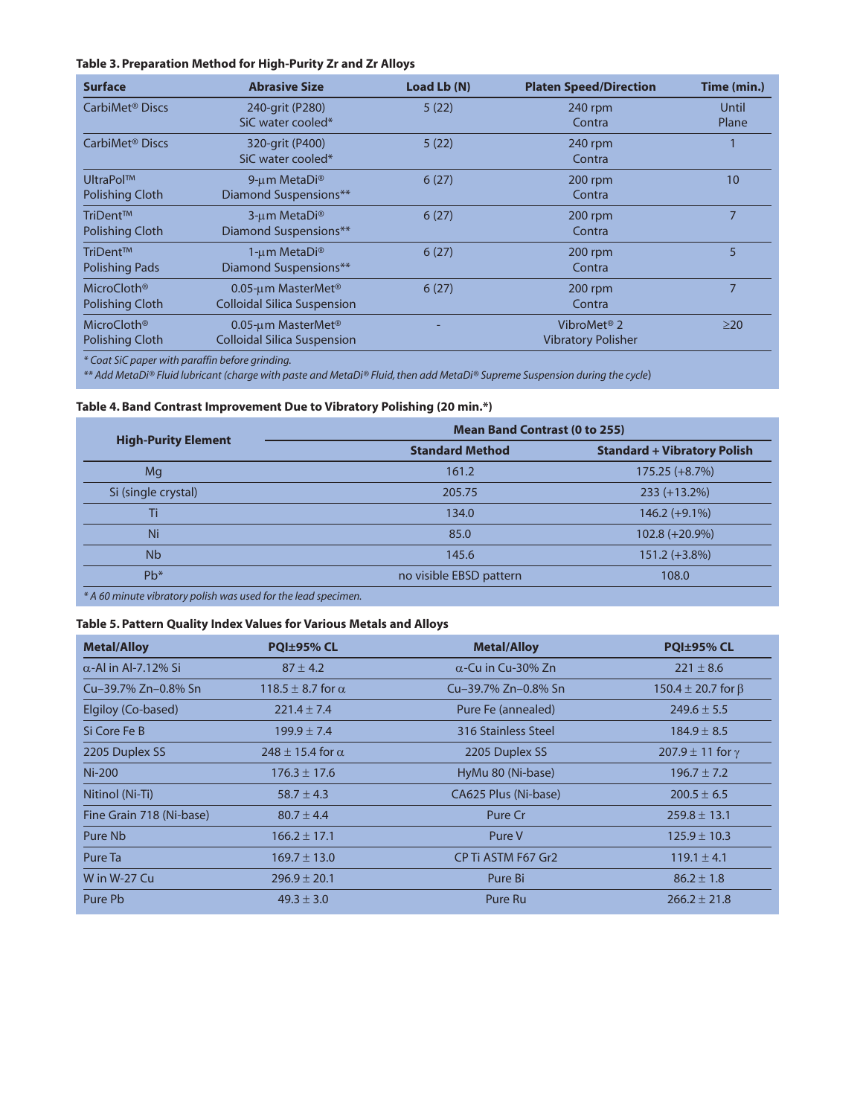## **Table 3. Preparation Method for High-Purity Zr and Zr Alloys**

| <b>Surface</b>                                    | <b>Abrasive Size</b>                                                 | Load Lb (N) | <b>Platen Speed/Direction</b>                        | Time (min.)    |
|---------------------------------------------------|----------------------------------------------------------------------|-------------|------------------------------------------------------|----------------|
| CarbiMet <sup>®</sup> Discs                       | 240-grit (P280)<br>SiC water cooled*                                 | 5(22)       | 240 rpm<br>Contra                                    | Until<br>Plane |
| CarbiMet <sup>®</sup> Discs                       | 320-grit (P400)<br>SiC water cooled*                                 | 5(22)       | 240 rpm<br>Contra                                    |                |
| <b>UltraPol™</b><br><b>Polishing Cloth</b>        | 9-um MetaDi <sup>®</sup><br>Diamond Suspensions**                    | 6(27)       | $200$ rpm<br>Contra                                  | 10             |
| TriDent™<br><b>Polishing Cloth</b>                | 3-um MetaDi®<br>Diamond Suspensions**                                | 6(27)       | 200 rpm<br>Contra                                    | 7              |
| TriDent™<br><b>Polishing Pads</b>                 | 1-um MetaDi <sup>®</sup><br>Diamond Suspensions**                    | 6(27)       | 200 rpm<br>Contra                                    | 5              |
| MicroCloth <sup>®</sup><br><b>Polishing Cloth</b> | 0.05-um MasterMet <sup>®</sup><br><b>Colloidal Silica Suspension</b> | 6(27)       | $200$ rpm<br>Contra                                  | 7              |
| MicroCloth <sup>®</sup><br><b>Polishing Cloth</b> | 0.05-um MasterMet <sup>®</sup><br><b>Colloidal Silica Suspension</b> |             | VibroMet <sup>®</sup> 2<br><b>Vibratory Polisher</b> | $\geq$ 20      |

*\* Coat SiC paper with paraffin before grinding.*

*\*\* Add MetaDi® Fluid lubricant (charge with paste and MetaDi® Fluid, then add MetaDi® Supreme Suspension during the cycle*)

## **Table 4. Band Contrast Improvement Due to Vibratory Polishing (20 min.\*)**

| <b>Mean Band Contrast (0 to 255)</b> |                                    |  |  |
|--------------------------------------|------------------------------------|--|--|
| <b>Standard Method</b>               | <b>Standard + Vibratory Polish</b> |  |  |
| 161.2                                | $175.25 (+8.7%)$                   |  |  |
| 205.75                               | $233 (+13.2%)$                     |  |  |
| 134.0                                | $146.2 (+9.1%)$                    |  |  |
| 85.0                                 | $102.8 (+20.9%)$                   |  |  |
| 145.6                                | $151.2 (+3.8%)$                    |  |  |
| no visible EBSD pattern              | 108.0                              |  |  |
|                                      |                                    |  |  |

*\* A 60 minute vibratory polish was used for the lead specimen.* 

# **Table 5. Pattern Quality Index Values for Various Metals and Alloys**

| <b>Metal/Alloy</b>          | PQI±95% CL                   | <b>Metal/Alloy</b>        | <b>PQI±95% CL</b>            |
|-----------------------------|------------------------------|---------------------------|------------------------------|
| $\alpha$ -Al in Al-7.12% Si | $87 \pm 4.2$                 | $\alpha$ -Cu in Cu-30% Zn | $221 \pm 8.6$                |
| Cu-39.7% Zn-0.8% Sn         | 118.5 $\pm$ 8.7 for $\alpha$ | Cu-39.7% Zn-0.8% Sn       | 150.4 $\pm$ 20.7 for $\beta$ |
| Elgiloy (Co-based)          | $221.4 \pm 7.4$              | Pure Fe (annealed)        | $249.6 \pm 5.5$              |
| Si Core Fe B                | $199.9 \pm 7.4$              | 316 Stainless Steel       | $184.9 \pm 8.5$              |
| 2205 Duplex SS              | $248 \pm 15.4$ for $\alpha$  | 2205 Duplex SS            | $207.9 \pm 11$ for $\gamma$  |
| Ni-200                      | $176.3 \pm 17.6$             | HyMu 80 (Ni-base)         | $196.7 \pm 7.2$              |
| Nitinol (Ni-Ti)             | 58.7 $\pm$ 4.3               | CA625 Plus (Ni-base)      | $200.5 \pm 6.5$              |
| Fine Grain 718 (Ni-base)    | $80.7 \pm 4.4$               | Pure Cr                   | $259.8 \pm 13.1$             |
| Pure Nb                     | $166.2 \pm 17.1$             | Pure V                    | $125.9 \pm 10.3$             |
| Pure Ta                     | $169.7 \pm 13.0$             | CP Ti ASTM F67 Gr2        | $119.1 \pm 4.1$              |
| W in W-27 Cu                | $296.9 \pm 20.1$             | Pure Bi                   | $86.2 \pm 1.8$               |
| Pure Pb                     | $49.3 \pm 3.0$               | Pure Ru                   | $266.2 \pm 21.8$             |